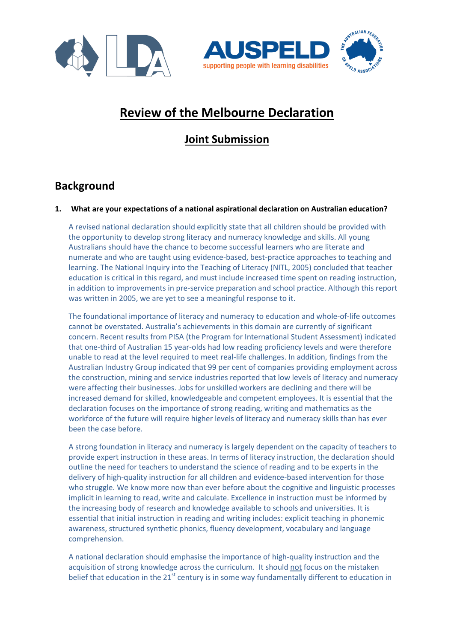





# **Review of the Melbourne Declaration**

## **Joint Submission**

### **Background**

#### **1. What are your expectations of a national aspirational declaration on Australian education?**

A revised national declaration should explicitly state that all children should be provided with the opportunity to develop strong literacy and numeracy knowledge and skills. All young Australians should have the chance to become successful learners who are literate and numerate and who are taught using evidence-based, best-practice approaches to teaching and learning. The National Inquiry into the Teaching of Literacy (NITL, 2005) concluded that teacher education is critical in this regard, and must include increased time spent on reading instruction, in addition to improvements in pre-service preparation and school practice. Although this report was written in 2005, we are yet to see a meaningful response to it.

The foundational importance of literacy and numeracy to education and whole-of-life outcomes cannot be overstated. Australia's achievements in this domain are currently of significant concern. Recent results from PISA (the Program for International Student Assessment) indicated that one-third of Australian 15 year-olds had low reading proficiency levels and were therefore unable to read at the level required to meet real-life challenges. In addition, findings from the Australian Industry Group indicated that 99 per cent of companies providing employment across the construction, mining and service industries reported that low levels of literacy and numeracy were affecting their businesses. Jobs for unskilled workers are declining and there will be increased demand for skilled, knowledgeable and competent employees. It is essential that the declaration focuses on the importance of strong reading, writing and mathematics as the workforce of the future will require higher levels of literacy and numeracy skills than has ever been the case before.

A strong foundation in literacy and numeracy is largely dependent on the capacity of teachers to provide expert instruction in these areas. In terms of literacy instruction, the declaration should outline the need for teachers to understand the science of reading and to be experts in the delivery of high-quality instruction for all children and evidence-based intervention for those who struggle. We know more now than ever before about the cognitive and linguistic processes implicit in learning to read, write and calculate. Excellence in instruction must be informed by the increasing body of research and knowledge available to schools and universities. It is essential that initial instruction in reading and writing includes: explicit teaching in phonemic awareness, structured synthetic phonics, fluency development, vocabulary and language comprehension.

A national declaration should emphasise the importance of high-quality instruction and the acquisition of strong knowledge across the curriculum. It should not focus on the mistaken belief that education in the 21<sup>st</sup> century is in some way fundamentally different to education in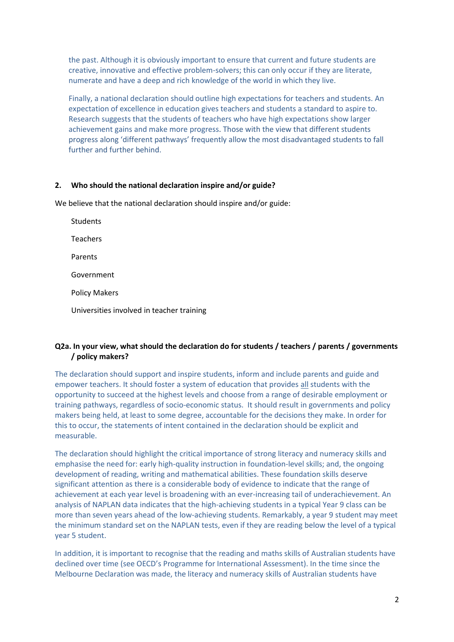the past. Although it is obviously important to ensure that current and future students are creative, innovative and effective problem-solvers; this can only occur if they are literate, numerate and have a deep and rich knowledge of the world in which they live.

Finally, a national declaration should outline high expectations for teachers and students. An expectation of excellence in education gives teachers and students a standard to aspire to. Research suggests that the students of teachers who have high expectations show larger achievement gains and make more progress. Those with the view that different students progress along 'different pathways' frequently allow the most disadvantaged students to fall further and further behind.

#### **2. Who should the national declaration inspire and/or guide?**

We believe that the national declaration should inspire and/or guide:

Students Teachers Parents Government Policy Makers Universities involved in teacher training

#### **Q2a. In your view, what should the declaration do for students / teachers / parents / governments / policy makers?**

The declaration should support and inspire students, inform and include parents and guide and empower teachers. It should foster a system of education that provides all students with the opportunity to succeed at the highest levels and choose from a range of desirable employment or training pathways, regardless of socio-economic status. It should result in governments and policy makers being held, at least to some degree, accountable for the decisions they make. In order for this to occur, the statements of intent contained in the declaration should be explicit and measurable.

The declaration should highlight the critical importance of strong literacy and numeracy skills and emphasise the need for: early high-quality instruction in foundation-level skills; and, the ongoing development of reading, writing and mathematical abilities. These foundation skills deserve significant attention as there is a considerable body of evidence to indicate that the range of achievement at each year level is broadening with an ever-increasing tail of underachievement. An analysis of NAPLAN data indicates that the high-achieving students in a typical Year 9 class can be more than seven years ahead of the low-achieving students. Remarkably, a year 9 student may meet the minimum standard set on the NAPLAN tests, even if they are reading below the level of a typical year 5 student.

In addition, it is important to recognise that the reading and maths skills of Australian students have declined over time (see OECD's Programme for International Assessment). In the time since the Melbourne Declaration was made, the literacy and numeracy skills of Australian students have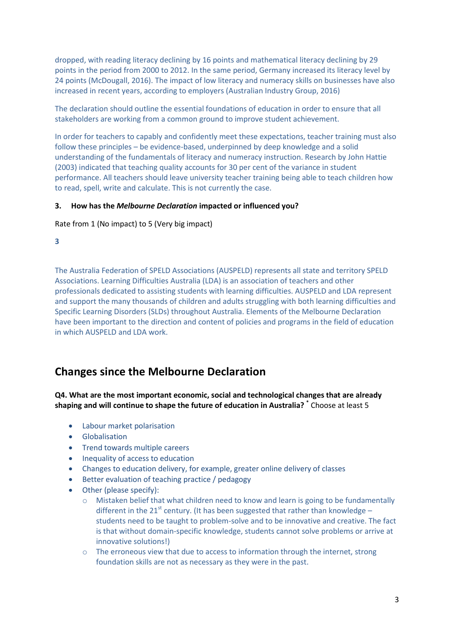dropped, with reading literacy declining by 16 points and mathematical literacy declining by 29 points in the period from 2000 to 2012. In the same period, Germany increased its literacy level by 24 points (McDougall, 2016). The impact of low literacy and numeracy skills on businesses have also increased in recent years, according to employers (Australian Industry Group, 2016)

The declaration should outline the essential foundations of education in order to ensure that all stakeholders are working from a common ground to improve student achievement.

In order for teachers to capably and confidently meet these expectations, teacher training must also follow these principles – be evidence-based, underpinned by deep knowledge and a solid understanding of the fundamentals of literacy and numeracy instruction. Research by John Hattie (2003) indicated that teaching quality accounts for 30 per cent of the variance in student performance. All teachers should leave university teacher training being able to teach children how to read, spell, write and calculate. This is not currently the case.

#### **3. How has the** *Melbourne Declaration* **impacted or influenced you?**

Rate from 1 (No impact) to 5 (Very big impact)

**3**

The Australia Federation of SPELD Associations (AUSPELD) represents all state and territory SPELD Associations. Learning Difficulties Australia (LDA) is an association of teachers and other professionals dedicated to assisting students with learning difficulties. AUSPELD and LDA represent and support the many thousands of children and adults struggling with both learning difficulties and Specific Learning Disorders (SLDs) throughout Australia. Elements of the Melbourne Declaration have been important to the direction and content of policies and programs in the field of education in which AUSPELD and LDA work.

### **Changes since the Melbourne Declaration**

**Q4. What are the most important economic, social and technological changes that are already shaping and will continue to shape the future of education in Australia? \*** Choose at least 5

- Labour market polarisation
- **•** Globalisation
- Trend towards multiple careers
- Inequality of access to education
- Changes to education delivery, for example, greater online delivery of classes
- Better evaluation of teaching practice / pedagogy
- Other (please specify):
	- $\circ$  Mistaken belief that what children need to know and learn is going to be fundamentally different in the 21<sup>st</sup> century. (It has been suggested that rather than knowledge – students need to be taught to problem-solve and to be innovative and creative. The fact is that without domain-specific knowledge, students cannot solve problems or arrive at innovative solutions!)
	- o The erroneous view that due to access to information through the internet, strong foundation skills are not as necessary as they were in the past.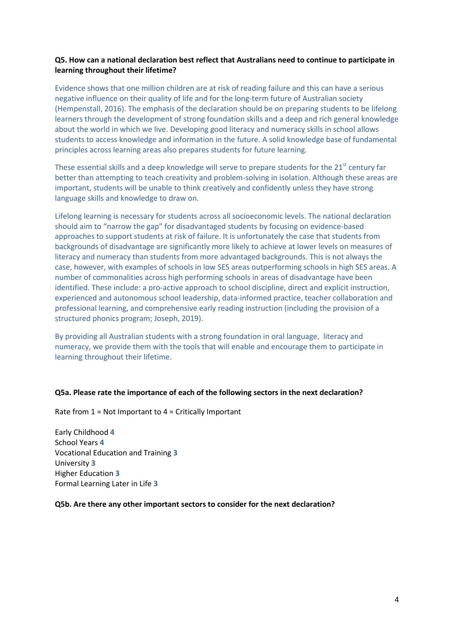#### **Q5. How can a national declaration best reflect that Australians need to continue to participate in learning throughout their lifetime?**

Evidence shows that one million children are at risk of reading failure and this can have a serious negative influence on their quality of life and for the long-term future of Australian society (Hempenstall, 2016). The emphasis of the declaration should be on preparing students to be lifelong learners through the development of strong foundation skills and a deep and rich general knowledge about the world in which we live. Developing good literacy and numeracy skills in school allows students to access knowledge and information in the future. A solid knowledge base of fundamental principles across learning areas also prepares students for future learning.

These essential skills and a deep knowledge will serve to prepare students for the 21<sup>st</sup> century far better than attempting to teach creativity and problem-solving in isolation. Although these areas are important, students will be unable to think creatively and confidently unless they have strong language skills and knowledge to draw on.

Lifelong learning is necessary for students across all socioeconomic levels. The national declaration should aim to "narrow the gap" for disadvantaged students by focusing on evidence-based approaches to support students at risk of failure. It is unfortunately the case that students from backgrounds of disadvantage are significantly more likely to achieve at lower levels on measures of literacy and numeracy than students from more advantaged backgrounds. This is not always the case, however, with examples of schools in low SES areas outperforming schools in high SES areas. A number of commonalities across high performing schools in areas of disadvantage have been identified. These include: a pro-active approach to school discipline, direct and explicit instruction, experienced and autonomous school leadership, data-informed practice, teacher collaboration and professional learning, and comprehensive early reading instruction (including the provision of a structured phonics program; Joseph, 2019).

By providing all Australian students with a strong foundation in oral language, literacy and numeracy, we provide them with the tools that will enable and encourage them to participate in learning throughout their lifetime.

#### **Q5a. Please rate the importance of each of the following sectors in the next declaration?**

Rate from 1 = Not Important to 4 = Critically Important

Early Childhood **4** School Years **4** Vocational Education and Training **3** University **3** Higher Education **3** Formal Learning Later in Life **3**

#### **Q5b. Are there any other important sectors to consider for the next declaration?**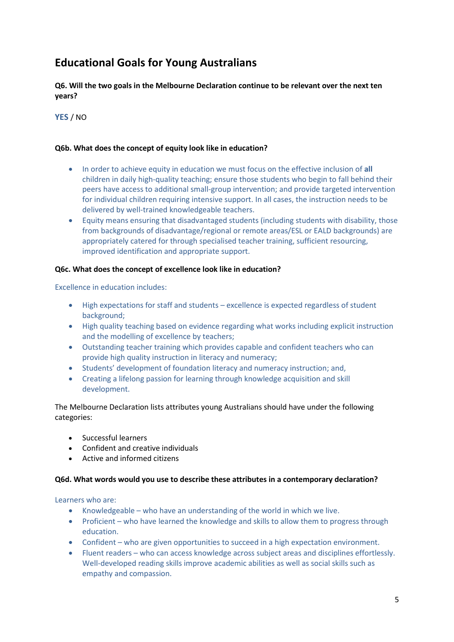### **Educational Goals for Young Australians**

**Q6. Will the two goals in the Melbourne Declaration continue to be relevant over the next ten years?**

**YES** / NO

#### **Q6b. What does the concept of equity look like in education?**

- In order to achieve equity in education we must focus on the effective inclusion of **all**  children in daily high-quality teaching; ensure those students who begin to fall behind their peers have access to additional small-group intervention; and provide targeted intervention for individual children requiring intensive support. In all cases, the instruction needs to be delivered by well-trained knowledgeable teachers.
- Equity means ensuring that disadvantaged students (including students with disability, those from backgrounds of disadvantage/regional or remote areas/ESL or EALD backgrounds) are appropriately catered for through specialised teacher training, sufficient resourcing, improved identification and appropriate support.

#### **Q6c. What does the concept of excellence look like in education?**

Excellence in education includes:

- High expectations for staff and students excellence is expected regardless of student background;
- High quality teaching based on evidence regarding what works including explicit instruction and the modelling of excellence by teachers;
- Outstanding teacher training which provides capable and confident teachers who can provide high quality instruction in literacy and numeracy;
- Students' development of foundation literacy and numeracy instruction; and,
- Creating a lifelong passion for learning through knowledge acquisition and skill development.

The [Melbourne Declaration](http://www.curriculum.edu.au/verve/_resources/National_Declaration_on_the_Educational_Goals_for_Young_Australians.pdf) lists attributes young Australians should have under the following categories:

- **•** Successful learners
- Confident and creative individuals
- Active and informed citizens

#### **Q6d. What words would you use to describe these attributes in a contemporary declaration?**

Learners who are:

- Knowledgeable who have an understanding of the world in which we live.
- Proficient who have learned the knowledge and skills to allow them to progress through education.
- Confident who are given opportunities to succeed in a high expectation environment.
- Fluent readers who can access knowledge across subject areas and disciplines effortlessly. Well-developed reading skills improve academic abilities as well as social skills such as empathy and compassion.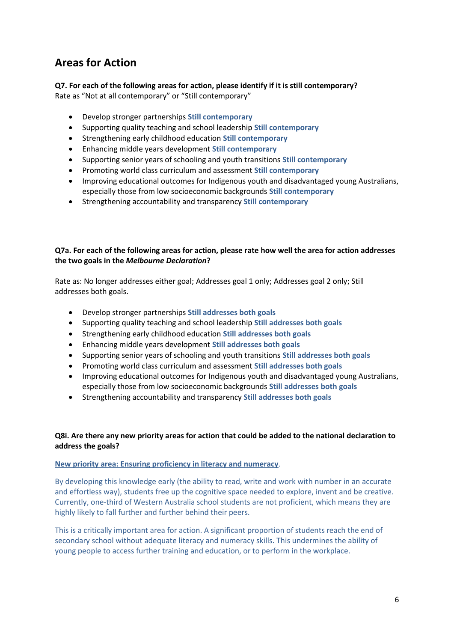### **Areas for Action**

## **Q7. For each of the following areas for action, please identify if it is still contemporary?**

Rate as "Not at all contemporary" or "Still contemporary"

- Develop stronger partnerships **Still contemporary**
- Supporting quality teaching and school leadership **Still contemporary**
- Strengthening early childhood education **Still contemporary**
- Enhancing middle years development **Still contemporary**
- Supporting senior years of schooling and youth transitions **Still contemporary**
- Promoting world class curriculum and assessment **Still contemporary**
- Improving educational outcomes for Indigenous youth and disadvantaged young Australians, especially those from low socioeconomic backgrounds **Still contemporary**
- Strengthening accountability and transparency **Still contemporary**

#### **Q7a. For each of the following areas for action, please rate how well the area for action addresses the two goals in the** *Melbourne Declaration***?**

Rate as: No longer addresses either goal; Addresses goal 1 only; Addresses goal 2 only; Still addresses both goals.

- Develop stronger partnerships **Still addresses both goals**
- Supporting quality teaching and school leadership **Still addresses both goals**
- Strengthening early childhood education **Still addresses both goals**
- Enhancing middle years development **Still addresses both goals**
- Supporting senior years of schooling and youth transitions **Still addresses both goals**
- Promoting world class curriculum and assessment **Still addresses both goals**
- Improving educational outcomes for Indigenous youth and disadvantaged young Australians, especially those from low socioeconomic backgrounds **Still addresses both goals**
- Strengthening accountability and transparency **Still addresses both goals**

#### **Q8i. Are there any new priority areas for action that could be added to the national declaration to address the goals?**

#### **New priority area: Ensuring proficiency in literacy and numeracy**.

By developing this knowledge early (the ability to read, write and work with number in an accurate and effortless way), students free up the cognitive space needed to explore, invent and be creative. Currently, one-third of Western Australia school students are not proficient, which means they are highly likely to fall further and further behind their peers.

This is a critically important area for action. A significant proportion of students reach the end of secondary school without adequate literacy and numeracy skills. This undermines the ability of young people to access further training and education, or to perform in the workplace.